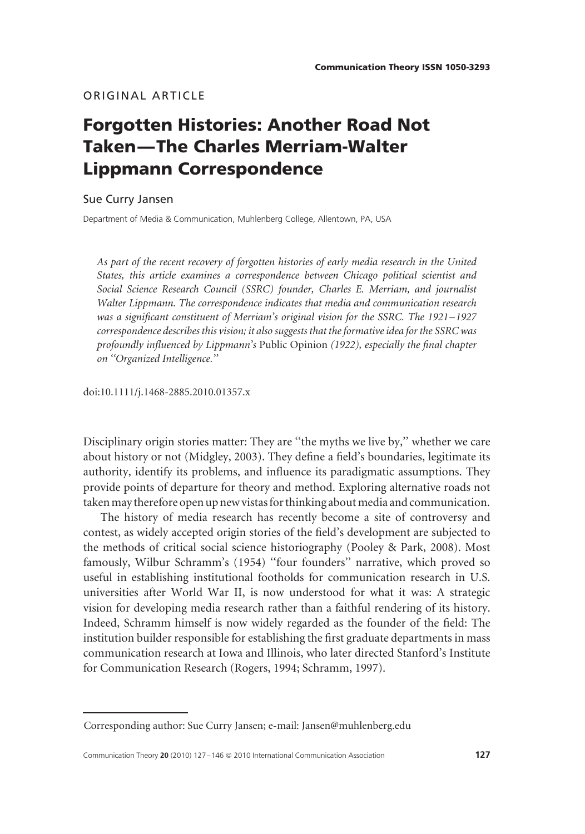### ORIGINAL ARTICLE

# **Forgotten Histories: Another Road Not Taken—The Charles Merriam-Walter Lippmann Correspondence**

### Sue Curry Jansen

Department of Media & Communication, Muhlenberg College, Allentown, PA, USA

*As part of the recent recovery of forgotten histories of early media research in the United States, this article examines a correspondence between Chicago political scientist and Social Science Research Council (SSRC) founder, Charles E. Merriam, and journalist Walter Lippmann. The correspondence indicates that media and communication research was a significant constituent of Merriam's original vision for the SSRC. The 1921–1927 correspondence describes this vision; it also suggests that the formative idea for the SSRC was profoundly influenced by Lippmann's* Public Opinion *(1922), especially the final chapter on ''Organized Intelligence.''*

doi:10.1111/j.1468-2885.2010.01357.x

Disciplinary origin stories matter: They are ''the myths we live by,'' whether we care about history or not (Midgley, 2003). They define a field's boundaries, legitimate its authority, identify its problems, and influence its paradigmatic assumptions. They provide points of departure for theory and method. Exploring alternative roads not taken may therefore open up new vistas for thinking about media and communication.

The history of media research has recently become a site of controversy and contest, as widely accepted origin stories of the field's development are subjected to the methods of critical social science historiography (Pooley & Park, 2008). Most famously, Wilbur Schramm's (1954) ''four founders'' narrative, which proved so useful in establishing institutional footholds for communication research in U.S. universities after World War II, is now understood for what it was: A strategic vision for developing media research rather than a faithful rendering of its history. Indeed, Schramm himself is now widely regarded as the founder of the field: The institution builder responsible for establishing the first graduate departments in mass communication research at Iowa and Illinois, who later directed Stanford's Institute for Communication Research (Rogers, 1994; Schramm, 1997).

Corresponding author: Sue Curry Jansen; e-mail: Jansen@muhlenberg.edu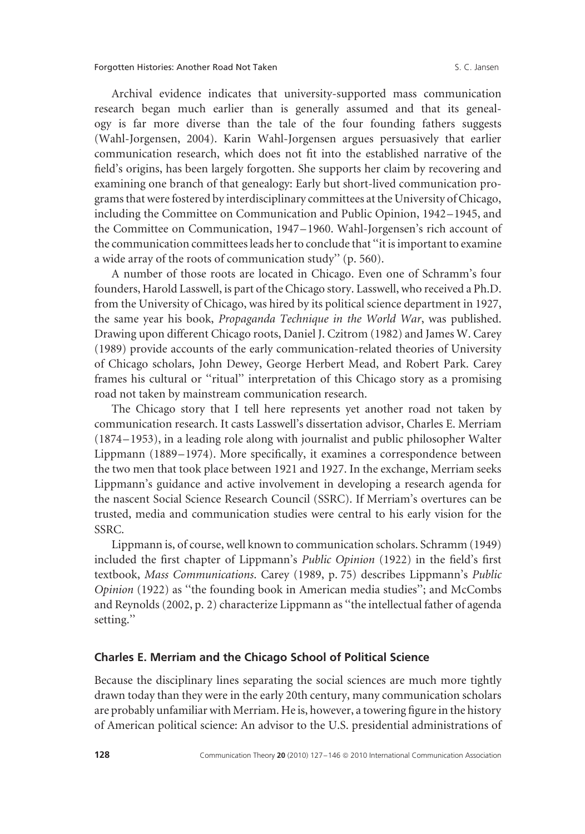Archival evidence indicates that university-supported mass communication research began much earlier than is generally assumed and that its genealogy is far more diverse than the tale of the four founding fathers suggests (Wahl-Jorgensen, 2004). Karin Wahl-Jorgensen argues persuasively that earlier communication research, which does not fit into the established narrative of the field's origins, has been largely forgotten. She supports her claim by recovering and examining one branch of that genealogy: Early but short-lived communication programs that were fostered by interdisciplinary committees at the University of Chicago, including the Committee on Communication and Public Opinion, 1942–1945, and the Committee on Communication, 1947–1960. Wahl-Jorgensen's rich account of the communication committees leads her to conclude that ''it is important to examine a wide array of the roots of communication study'' (p. 560).

A number of those roots are located in Chicago. Even one of Schramm's four founders, Harold Lasswell, is part of the Chicago story. Lasswell, who received a Ph.D. from the University of Chicago, was hired by its political science department in 1927, the same year his book, *Propaganda Technique in the World War*, was published. Drawing upon different Chicago roots, Daniel J. Czitrom (1982) and James W. Carey (1989) provide accounts of the early communication-related theories of University of Chicago scholars, John Dewey, George Herbert Mead, and Robert Park. Carey frames his cultural or ''ritual'' interpretation of this Chicago story as a promising road not taken by mainstream communication research.

The Chicago story that I tell here represents yet another road not taken by communication research. It casts Lasswell's dissertation advisor, Charles E. Merriam (1874–1953), in a leading role along with journalist and public philosopher Walter Lippmann (1889–1974). More specifically, it examines a correspondence between the two men that took place between 1921 and 1927. In the exchange, Merriam seeks Lippmann's guidance and active involvement in developing a research agenda for the nascent Social Science Research Council (SSRC). If Merriam's overtures can be trusted, media and communication studies were central to his early vision for the SSRC.

Lippmann is, of course, well known to communication scholars. Schramm (1949) included the first chapter of Lippmann's *Public Opinion* (1922) in the field's first textbook, *Mass Communications*. Carey (1989, p. 75) describes Lippmann's *Public Opinion* (1922) as ''the founding book in American media studies''; and McCombs and Reynolds (2002, p. 2) characterize Lippmann as ''the intellectual father of agenda setting.''

#### **Charles E. Merriam and the Chicago School of Political Science**

Because the disciplinary lines separating the social sciences are much more tightly drawn today than they were in the early 20th century, many communication scholars are probably unfamiliar with Merriam. He is, however, a towering figure in the history of American political science: An advisor to the U.S. presidential administrations of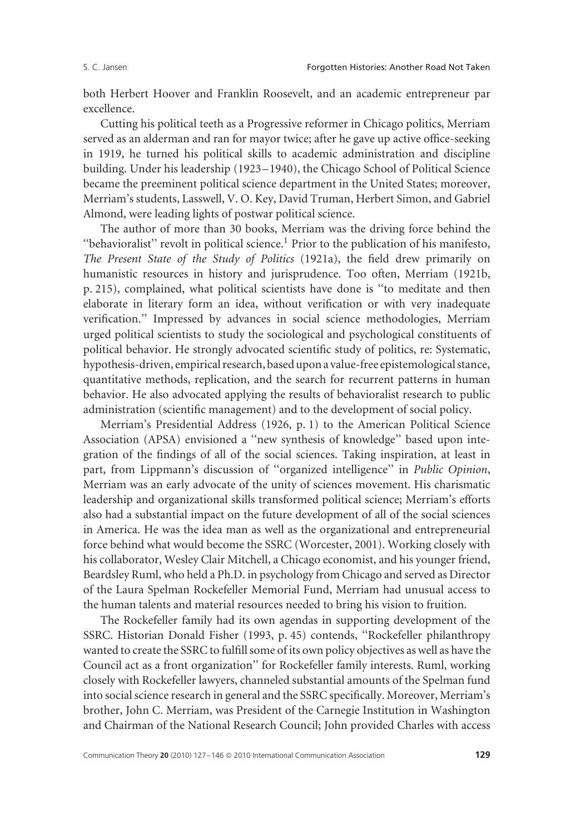both Herbert Hoover and Franklin Roosevelt, and an academic entrepreneur par excellence.

Cutting his political teeth as a Progressive reformer in Chicago politics, Merriam served as an alderman and ran for mayor twice; after he gave up active office-seeking in 1919, he turned his political skills to academic administration and discipline building. Under his leadership (1923–1940), the Chicago School of Political Science became the preeminent political science department in the United States; moreover, Merriam's students, Lasswell, V. O. Key, David Truman, Herbert Simon, and Gabriel Almond, were leading lights of postwar political science.

The author of more than 30 books, Merriam was the driving force behind the "behavioralist" revolt in political science.<sup>1</sup> Prior to the publication of his manifesto, *The Present State of the Study of Politics* (1921a), the field drew primarily on humanistic resources in history and jurisprudence. Too often, Merriam (1921b, p. 215), complained, what political scientists have done is ''to meditate and then elaborate in literary form an idea, without verification or with very inadequate verification.'' Impressed by advances in social science methodologies, Merriam urged political scientists to study the sociological and psychological constituents of political behavior. He strongly advocated scientific study of politics, re: Systematic, hypothesis-driven, empirical research, based upon a value-free epistemological stance, quantitative methods, replication, and the search for recurrent patterns in human behavior. He also advocated applying the results of behavioralist research to public administration (scientific management) and to the development of social policy.

Merriam's Presidential Address (1926, p. 1) to the American Political Science Association (APSA) envisioned a ''new synthesis of knowledge'' based upon integration of the findings of all of the social sciences. Taking inspiration, at least in part, from Lippmann's discussion of ''organized intelligence'' in *Public Opinion*, Merriam was an early advocate of the unity of sciences movement. His charismatic leadership and organizational skills transformed political science; Merriam's efforts also had a substantial impact on the future development of all of the social sciences in America. He was the idea man as well as the organizational and entrepreneurial force behind what would become the SSRC (Worcester, 2001). Working closely with his collaborator, Wesley Clair Mitchell, a Chicago economist, and his younger friend, Beardsley Ruml, who held a Ph.D. in psychology from Chicago and served as Director of the Laura Spelman Rockefeller Memorial Fund, Merriam had unusual access to the human talents and material resources needed to bring his vision to fruition.

The Rockefeller family had its own agendas in supporting development of the SSRC. Historian Donald Fisher (1993, p. 45) contends, ''Rockefeller philanthropy wanted to create the SSRC to fulfill some of its own policy objectives as well as have the Council act as a front organization'' for Rockefeller family interests. Ruml, working closely with Rockefeller lawyers, channeled substantial amounts of the Spelman fund into social science research in general and the SSRC specifically. Moreover, Merriam's brother, John C. Merriam, was President of the Carnegie Institution in Washington and Chairman of the National Research Council; John provided Charles with access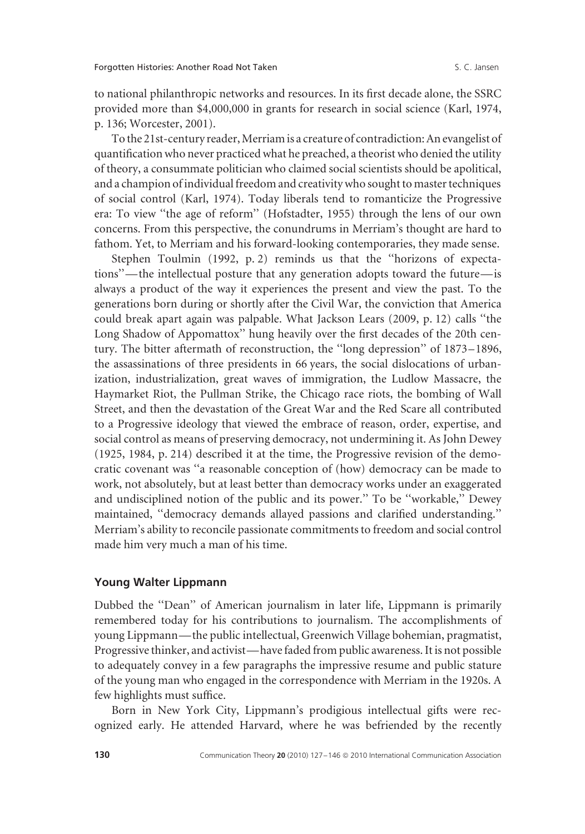to national philanthropic networks and resources. In its first decade alone, the SSRC provided more than \$4,000,000 in grants for research in social science (Karl, 1974, p. 136; Worcester, 2001).

To the 21st-century reader, Merriam is a creature of contradiction: An evangelist of quantification who never practiced what he preached, a theorist who denied the utility of theory, a consummate politician who claimed social scientists should be apolitical, and a champion of individual freedom and creativity who sought to master techniques of social control (Karl, 1974). Today liberals tend to romanticize the Progressive era: To view ''the age of reform'' (Hofstadter, 1955) through the lens of our own concerns. From this perspective, the conundrums in Merriam's thought are hard to fathom. Yet, to Merriam and his forward-looking contemporaries, they made sense.

Stephen Toulmin (1992, p. 2) reminds us that the ''horizons of expectations''—the intellectual posture that any generation adopts toward the future—is always a product of the way it experiences the present and view the past. To the generations born during or shortly after the Civil War, the conviction that America could break apart again was palpable. What Jackson Lears (2009, p. 12) calls ''the Long Shadow of Appomattox'' hung heavily over the first decades of the 20th century. The bitter aftermath of reconstruction, the ''long depression'' of 1873–1896, the assassinations of three presidents in 66 years, the social dislocations of urbanization, industrialization, great waves of immigration, the Ludlow Massacre, the Haymarket Riot, the Pullman Strike, the Chicago race riots, the bombing of Wall Street, and then the devastation of the Great War and the Red Scare all contributed to a Progressive ideology that viewed the embrace of reason, order, expertise, and social control as means of preserving democracy, not undermining it. As John Dewey (1925, 1984, p. 214) described it at the time, the Progressive revision of the democratic covenant was ''a reasonable conception of (how) democracy can be made to work, not absolutely, but at least better than democracy works under an exaggerated and undisciplined notion of the public and its power.'' To be ''workable,'' Dewey maintained, ''democracy demands allayed passions and clarified understanding.'' Merriam's ability to reconcile passionate commitments to freedom and social control made him very much a man of his time.

#### **Young Walter Lippmann**

Dubbed the ''Dean'' of American journalism in later life, Lippmann is primarily remembered today for his contributions to journalism. The accomplishments of young Lippmann—the public intellectual, Greenwich Village bohemian, pragmatist, Progressive thinker, and activist—have faded from public awareness. It is not possible to adequately convey in a few paragraphs the impressive resume and public stature of the young man who engaged in the correspondence with Merriam in the 1920s. A few highlights must suffice.

Born in New York City, Lippmann's prodigious intellectual gifts were recognized early. He attended Harvard, where he was befriended by the recently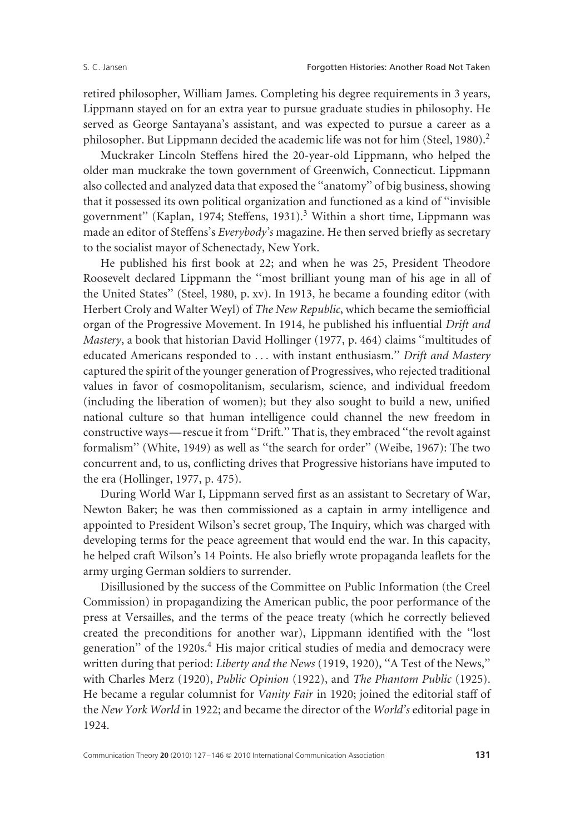retired philosopher, William James. Completing his degree requirements in 3 years, Lippmann stayed on for an extra year to pursue graduate studies in philosophy. He served as George Santayana's assistant, and was expected to pursue a career as a philosopher. But Lippmann decided the academic life was not for him (Steel, 1980).<sup>2</sup>

Muckraker Lincoln Steffens hired the 20-year-old Lippmann, who helped the older man muckrake the town government of Greenwich, Connecticut. Lippmann also collected and analyzed data that exposed the ''anatomy'' of big business, showing that it possessed its own political organization and functioned as a kind of ''invisible government" (Kaplan, 1974; Steffens, 1931).<sup>3</sup> Within a short time, Lippmann was made an editor of Steffens's *Everybody's* magazine. He then served briefly as secretary to the socialist mayor of Schenectady, New York.

He published his first book at 22; and when he was 25, President Theodore Roosevelt declared Lippmann the ''most brilliant young man of his age in all of the United States'' (Steel, 1980, p. xv). In 1913, he became a founding editor (with Herbert Croly and Walter Weyl) of *The New Republic*, which became the semiofficial organ of the Progressive Movement. In 1914, he published his influential *Drift and Mastery*, a book that historian David Hollinger (1977, p. 464) claims ''multitudes of educated Americans responded to *...* with instant enthusiasm.'' *Drift and Mastery* captured the spirit of the younger generation of Progressives, who rejected traditional values in favor of cosmopolitanism, secularism, science, and individual freedom (including the liberation of women); but they also sought to build a new, unified national culture so that human intelligence could channel the new freedom in constructive ways—rescue it from ''Drift.'' That is, they embraced ''the revolt against formalism'' (White, 1949) as well as ''the search for order'' (Weibe, 1967): The two concurrent and, to us, conflicting drives that Progressive historians have imputed to the era (Hollinger, 1977, p. 475).

During World War I, Lippmann served first as an assistant to Secretary of War, Newton Baker; he was then commissioned as a captain in army intelligence and appointed to President Wilson's secret group, The Inquiry, which was charged with developing terms for the peace agreement that would end the war. In this capacity, he helped craft Wilson's 14 Points. He also briefly wrote propaganda leaflets for the army urging German soldiers to surrender.

Disillusioned by the success of the Committee on Public Information (the Creel Commission) in propagandizing the American public, the poor performance of the press at Versailles, and the terms of the peace treaty (which he correctly believed created the preconditions for another war), Lippmann identified with the ''lost generation'' of the 1920s.<sup>4</sup> His major critical studies of media and democracy were written during that period: *Liberty and the News* (1919, 1920), ''A Test of the News,'' with Charles Merz (1920), *Public Opinion* (1922), and *The Phantom Public* (1925). He became a regular columnist for *Vanity Fair* in 1920; joined the editorial staff of the *New York World* in 1922; and became the director of the *World's* editorial page in 1924.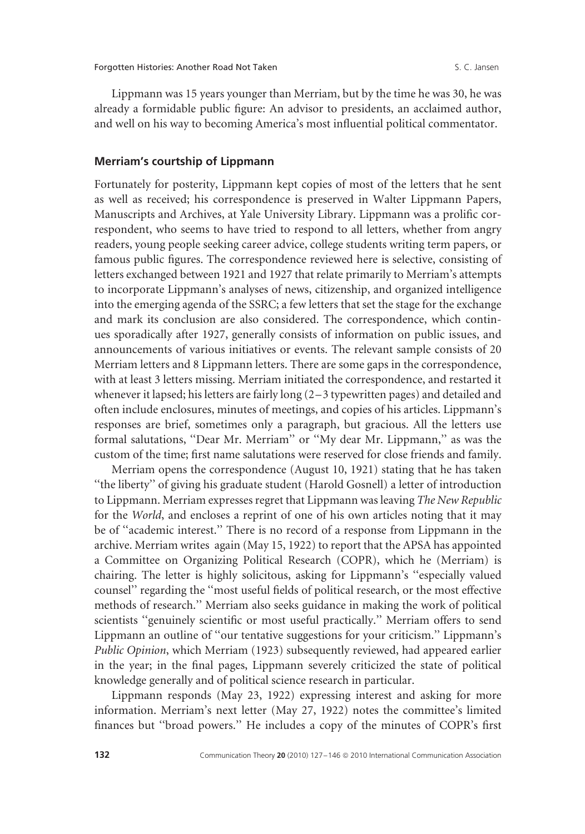Lippmann was 15 years younger than Merriam, but by the time he was 30, he was already a formidable public figure: An advisor to presidents, an acclaimed author, and well on his way to becoming America's most influential political commentator.

### **Merriam's courtship of Lippmann**

Fortunately for posterity, Lippmann kept copies of most of the letters that he sent as well as received; his correspondence is preserved in Walter Lippmann Papers, Manuscripts and Archives, at Yale University Library. Lippmann was a prolific correspondent, who seems to have tried to respond to all letters, whether from angry readers, young people seeking career advice, college students writing term papers, or famous public figures. The correspondence reviewed here is selective, consisting of letters exchanged between 1921 and 1927 that relate primarily to Merriam's attempts to incorporate Lippmann's analyses of news, citizenship, and organized intelligence into the emerging agenda of the SSRC; a few letters that set the stage for the exchange and mark its conclusion are also considered. The correspondence, which continues sporadically after 1927, generally consists of information on public issues, and announcements of various initiatives or events. The relevant sample consists of 20 Merriam letters and 8 Lippmann letters. There are some gaps in the correspondence, with at least 3 letters missing. Merriam initiated the correspondence, and restarted it whenever it lapsed; his letters are fairly long (2–3 typewritten pages) and detailed and often include enclosures, minutes of meetings, and copies of his articles. Lippmann's responses are brief, sometimes only a paragraph, but gracious. All the letters use formal salutations, ''Dear Mr. Merriam'' or ''My dear Mr. Lippmann,'' as was the custom of the time; first name salutations were reserved for close friends and family.

Merriam opens the correspondence (August 10, 1921) stating that he has taken ''the liberty'' of giving his graduate student (Harold Gosnell) a letter of introduction to Lippmann. Merriam expresses regret that Lippmann was leaving *The New Republic* for the *World*, and encloses a reprint of one of his own articles noting that it may be of ''academic interest.'' There is no record of a response from Lippmann in the archive. Merriam writes again (May 15, 1922) to report that the APSA has appointed a Committee on Organizing Political Research (COPR), which he (Merriam) is chairing. The letter is highly solicitous, asking for Lippmann's ''especially valued counsel'' regarding the ''most useful fields of political research, or the most effective methods of research.'' Merriam also seeks guidance in making the work of political scientists ''genuinely scientific or most useful practically.'' Merriam offers to send Lippmann an outline of ''our tentative suggestions for your criticism.'' Lippmann's *Public Opinion*, which Merriam (1923) subsequently reviewed, had appeared earlier in the year; in the final pages, Lippmann severely criticized the state of political knowledge generally and of political science research in particular.

Lippmann responds (May 23, 1922) expressing interest and asking for more information. Merriam's next letter (May 27, 1922) notes the committee's limited finances but ''broad powers.'' He includes a copy of the minutes of COPR's first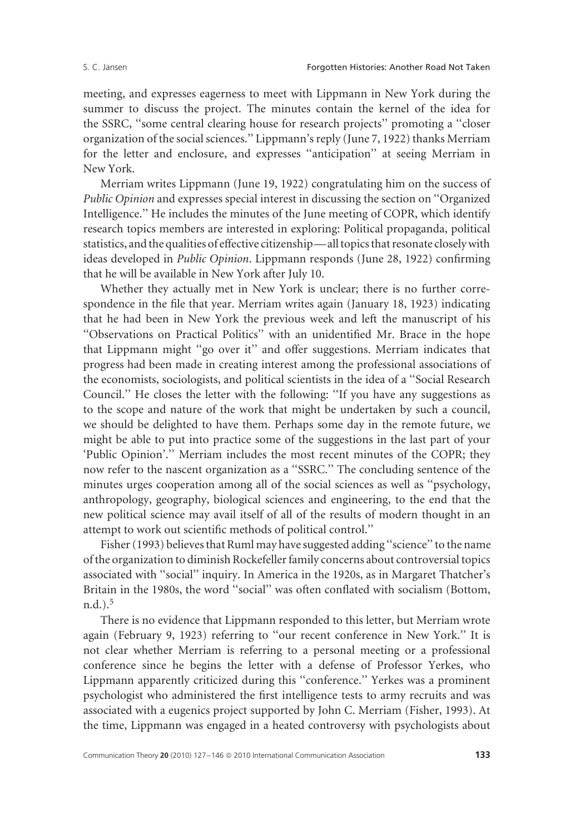meeting, and expresses eagerness to meet with Lippmann in New York during the summer to discuss the project. The minutes contain the kernel of the idea for the SSRC, ''some central clearing house for research projects'' promoting a ''closer organization of the social sciences.'' Lippmann's reply (June 7, 1922) thanks Merriam for the letter and enclosure, and expresses ''anticipation'' at seeing Merriam in New York.

Merriam writes Lippmann (June 19, 1922) congratulating him on the success of *Public Opinion* and expresses special interest in discussing the section on ''Organized Intelligence.'' He includes the minutes of the June meeting of COPR, which identify research topics members are interested in exploring: Political propaganda, political statistics, and the qualities of effective citizenship—all topics that resonate closely with ideas developed in *Public Opinion*. Lippmann responds (June 28, 1922) confirming that he will be available in New York after July 10.

Whether they actually met in New York is unclear; there is no further correspondence in the file that year. Merriam writes again (January 18, 1923) indicating that he had been in New York the previous week and left the manuscript of his "Observations on Practical Politics" with an unidentified Mr. Brace in the hope that Lippmann might ''go over it'' and offer suggestions. Merriam indicates that progress had been made in creating interest among the professional associations of the economists, sociologists, and political scientists in the idea of a ''Social Research Council.'' He closes the letter with the following: ''If you have any suggestions as to the scope and nature of the work that might be undertaken by such a council, we should be delighted to have them. Perhaps some day in the remote future, we might be able to put into practice some of the suggestions in the last part of your 'Public Opinion'.'' Merriam includes the most recent minutes of the COPR; they now refer to the nascent organization as a ''SSRC.'' The concluding sentence of the minutes urges cooperation among all of the social sciences as well as ''psychology, anthropology, geography, biological sciences and engineering, to the end that the new political science may avail itself of all of the results of modern thought in an attempt to work out scientific methods of political control.''

Fisher (1993) believes that Ruml may have suggested adding "science" to the name of the organization to diminish Rockefeller family concerns about controversial topics associated with ''social'' inquiry. In America in the 1920s, as in Margaret Thatcher's Britain in the 1980s, the word ''social'' was often conflated with socialism (Bottom,  $n.d.$ ).<sup>5</sup>

There is no evidence that Lippmann responded to this letter, but Merriam wrote again (February 9, 1923) referring to ''our recent conference in New York.'' It is not clear whether Merriam is referring to a personal meeting or a professional conference since he begins the letter with a defense of Professor Yerkes, who Lippmann apparently criticized during this ''conference.'' Yerkes was a prominent psychologist who administered the first intelligence tests to army recruits and was associated with a eugenics project supported by John C. Merriam (Fisher, 1993). At the time, Lippmann was engaged in a heated controversy with psychologists about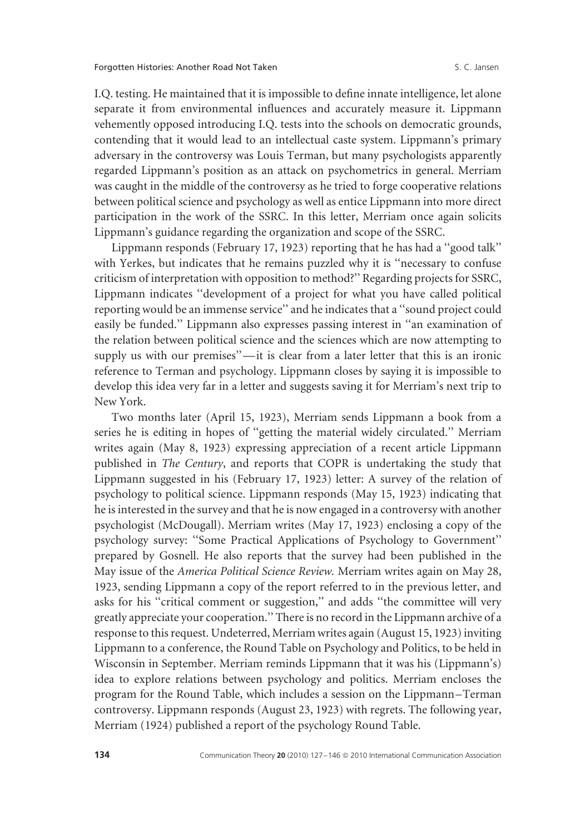I.Q. testing. He maintained that it is impossible to define innate intelligence, let alone separate it from environmental influences and accurately measure it. Lippmann vehemently opposed introducing I.Q. tests into the schools on democratic grounds, contending that it would lead to an intellectual caste system. Lippmann's primary adversary in the controversy was Louis Terman, but many psychologists apparently regarded Lippmann's position as an attack on psychometrics in general. Merriam was caught in the middle of the controversy as he tried to forge cooperative relations between political science and psychology as well as entice Lippmann into more direct participation in the work of the SSRC. In this letter, Merriam once again solicits Lippmann's guidance regarding the organization and scope of the SSRC.

Lippmann responds (February 17, 1923) reporting that he has had a ''good talk'' with Yerkes, but indicates that he remains puzzled why it is ''necessary to confuse criticism of interpretation with opposition to method?'' Regarding projects for SSRC, Lippmann indicates ''development of a project for what you have called political reporting would be an immense service'' and he indicates that a ''sound project could easily be funded.'' Lippmann also expresses passing interest in ''an examination of the relation between political science and the sciences which are now attempting to supply us with our premises''—it is clear from a later letter that this is an ironic reference to Terman and psychology. Lippmann closes by saying it is impossible to develop this idea very far in a letter and suggests saving it for Merriam's next trip to New York.

Two months later (April 15, 1923), Merriam sends Lippmann a book from a series he is editing in hopes of ''getting the material widely circulated.'' Merriam writes again (May 8, 1923) expressing appreciation of a recent article Lippmann published in *The Century*, and reports that COPR is undertaking the study that Lippmann suggested in his (February 17, 1923) letter: A survey of the relation of psychology to political science. Lippmann responds (May 15, 1923) indicating that he is interested in the survey and that he is now engaged in a controversy with another psychologist (McDougall). Merriam writes (May 17, 1923) enclosing a copy of the psychology survey: ''Some Practical Applications of Psychology to Government'' prepared by Gosnell. He also reports that the survey had been published in the May issue of the *America Political Science Review.* Merriam writes again on May 28, 1923, sending Lippmann a copy of the report referred to in the previous letter, and asks for his ''critical comment or suggestion,'' and adds ''the committee will very greatly appreciate your cooperation.'' There is no record in the Lippmann archive of a response to this request. Undeterred, Merriam writes again (August 15, 1923) inviting Lippmann to a conference, the Round Table on Psychology and Politics, to be held in Wisconsin in September. Merriam reminds Lippmann that it was his (Lippmann's) idea to explore relations between psychology and politics. Merriam encloses the program for the Round Table, which includes a session on the Lippmann–Terman controversy. Lippmann responds (August 23, 1923) with regrets. The following year, Merriam (1924) published a report of the psychology Round Table.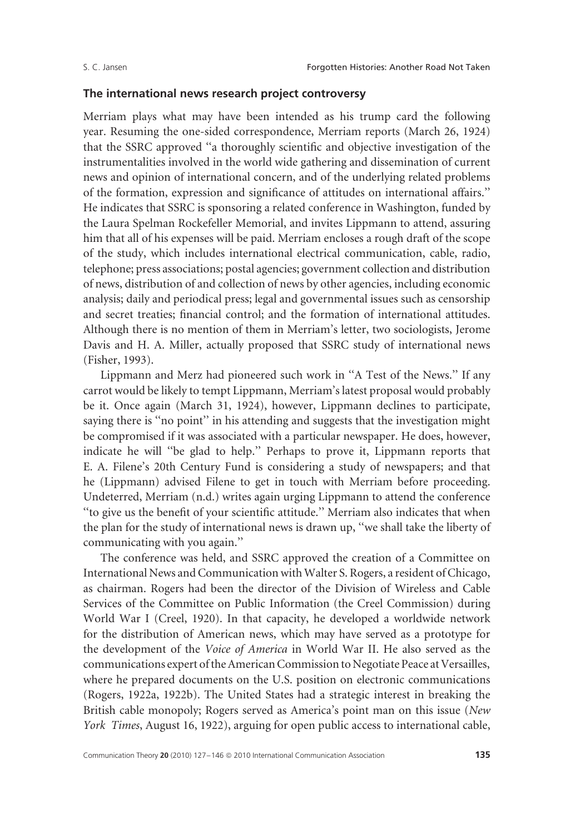#### **The international news research project controversy**

Merriam plays what may have been intended as his trump card the following year. Resuming the one-sided correspondence, Merriam reports (March 26, 1924) that the SSRC approved ''a thoroughly scientific and objective investigation of the instrumentalities involved in the world wide gathering and dissemination of current news and opinion of international concern, and of the underlying related problems of the formation, expression and significance of attitudes on international affairs.'' He indicates that SSRC is sponsoring a related conference in Washington, funded by the Laura Spelman Rockefeller Memorial, and invites Lippmann to attend, assuring him that all of his expenses will be paid. Merriam encloses a rough draft of the scope of the study, which includes international electrical communication, cable, radio, telephone; press associations; postal agencies; government collection and distribution of news, distribution of and collection of news by other agencies, including economic analysis; daily and periodical press; legal and governmental issues such as censorship and secret treaties; financial control; and the formation of international attitudes. Although there is no mention of them in Merriam's letter, two sociologists, Jerome Davis and H. A. Miller, actually proposed that SSRC study of international news (Fisher, 1993).

Lippmann and Merz had pioneered such work in ''A Test of the News.'' If any carrot would be likely to tempt Lippmann, Merriam's latest proposal would probably be it. Once again (March 31, 1924), however, Lippmann declines to participate, saying there is ''no point'' in his attending and suggests that the investigation might be compromised if it was associated with a particular newspaper. He does, however, indicate he will ''be glad to help.'' Perhaps to prove it, Lippmann reports that E. A. Filene's 20th Century Fund is considering a study of newspapers; and that he (Lippmann) advised Filene to get in touch with Merriam before proceeding. Undeterred, Merriam (n.d.) writes again urging Lippmann to attend the conference ''to give us the benefit of your scientific attitude.'' Merriam also indicates that when the plan for the study of international news is drawn up, ''we shall take the liberty of communicating with you again.''

The conference was held, and SSRC approved the creation of a Committee on International News and Communication with Walter S. Rogers, a resident of Chicago, as chairman. Rogers had been the director of the Division of Wireless and Cable Services of the Committee on Public Information (the Creel Commission) during World War I (Creel, 1920). In that capacity, he developed a worldwide network for the distribution of American news, which may have served as a prototype for the development of the *Voice of America* in World War II. He also served as the communications expert of the American Commission to Negotiate Peace at Versailles, where he prepared documents on the U.S. position on electronic communications (Rogers, 1922a, 1922b). The United States had a strategic interest in breaking the British cable monopoly; Rogers served as America's point man on this issue (*New York Times*, August 16, 1922), arguing for open public access to international cable,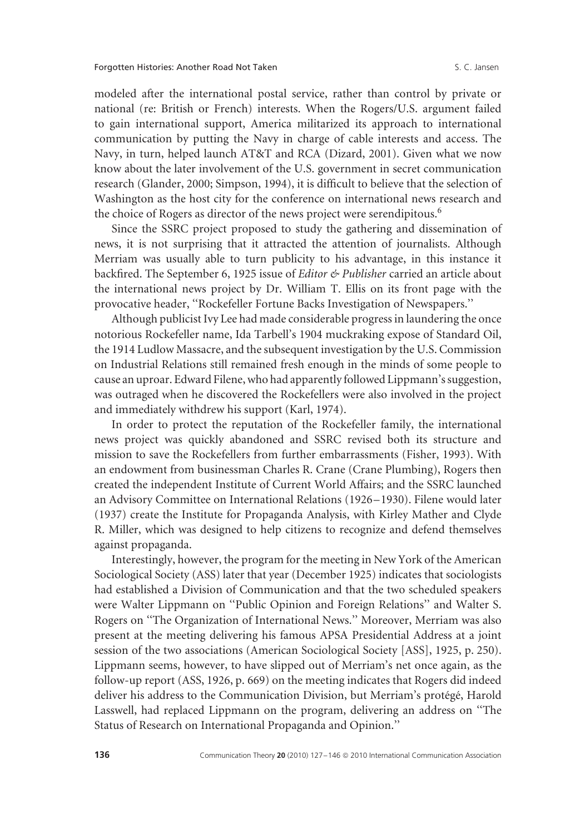modeled after the international postal service, rather than control by private or national (re: British or French) interests. When the Rogers/U.S. argument failed to gain international support, America militarized its approach to international communication by putting the Navy in charge of cable interests and access. The Navy, in turn, helped launch AT&T and RCA (Dizard, 2001). Given what we now know about the later involvement of the U.S. government in secret communication research (Glander, 2000; Simpson, 1994), it is difficult to believe that the selection of Washington as the host city for the conference on international news research and the choice of Rogers as director of the news project were serendipitous.<sup>6</sup>

Since the SSRC project proposed to study the gathering and dissemination of news, it is not surprising that it attracted the attention of journalists. Although Merriam was usually able to turn publicity to his advantage, in this instance it backfired. The September 6, 1925 issue of *Editor & Publisher* carried an article about the international news project by Dr. William T. Ellis on its front page with the provocative header, ''Rockefeller Fortune Backs Investigation of Newspapers.''

Although publicist Ivy Lee had made considerable progress in laundering the once notorious Rockefeller name, Ida Tarbell's 1904 muckraking expose of Standard Oil, the 1914 Ludlow Massacre, and the subsequent investigation by the U.S. Commission on Industrial Relations still remained fresh enough in the minds of some people to cause an uproar. Edward Filene, who had apparently followed Lippmann's suggestion, was outraged when he discovered the Rockefellers were also involved in the project and immediately withdrew his support (Karl, 1974).

In order to protect the reputation of the Rockefeller family, the international news project was quickly abandoned and SSRC revised both its structure and mission to save the Rockefellers from further embarrassments (Fisher, 1993). With an endowment from businessman Charles R. Crane (Crane Plumbing), Rogers then created the independent Institute of Current World Affairs; and the SSRC launched an Advisory Committee on International Relations (1926–1930). Filene would later (1937) create the Institute for Propaganda Analysis, with Kirley Mather and Clyde R. Miller, which was designed to help citizens to recognize and defend themselves against propaganda.

Interestingly, however, the program for the meeting in New York of the American Sociological Society (ASS) later that year (December 1925) indicates that sociologists had established a Division of Communication and that the two scheduled speakers were Walter Lippmann on ''Public Opinion and Foreign Relations'' and Walter S. Rogers on ''The Organization of International News.'' Moreover, Merriam was also present at the meeting delivering his famous APSA Presidential Address at a joint session of the two associations (American Sociological Society [ASS], 1925, p. 250). Lippmann seems, however, to have slipped out of Merriam's net once again, as the follow-up report (ASS, 1926, p. 669) on the meeting indicates that Rogers did indeed deliver his address to the Communication Division, but Merriam's protégé, Harold Lasswell, had replaced Lippmann on the program, delivering an address on ''The Status of Research on International Propaganda and Opinion.''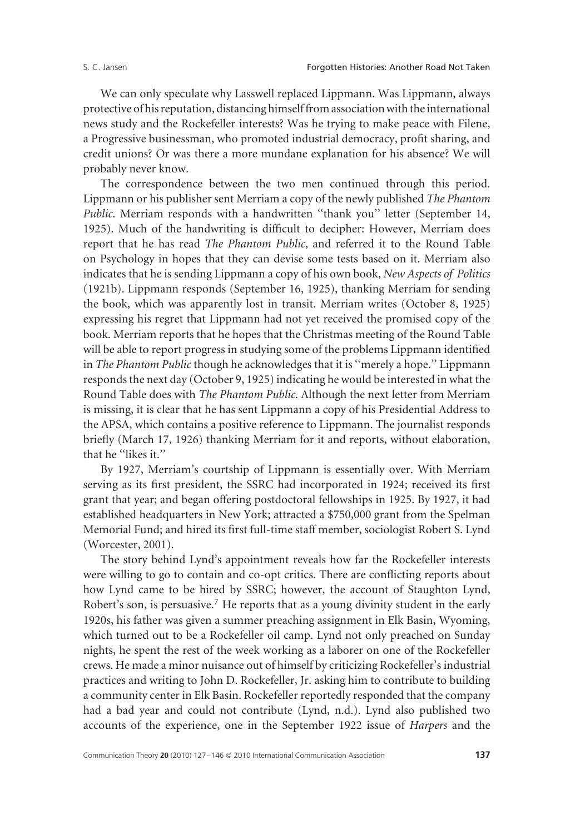We can only speculate why Lasswell replaced Lippmann. Was Lippmann, always protective of his reputation, distancing himself from association with the international news study and the Rockefeller interests? Was he trying to make peace with Filene, a Progressive businessman, who promoted industrial democracy, profit sharing, and credit unions? Or was there a more mundane explanation for his absence? We will probably never know.

The correspondence between the two men continued through this period. Lippmann or his publisher sent Merriam a copy of the newly published *The Phantom Public*. Merriam responds with a handwritten ''thank you'' letter (September 14, 1925). Much of the handwriting is difficult to decipher: However, Merriam does report that he has read *The Phantom Public*, and referred it to the Round Table on Psychology in hopes that they can devise some tests based on it. Merriam also indicates that he is sending Lippmann a copy of his own book, *New Aspects of Politics* (1921b). Lippmann responds (September 16, 1925), thanking Merriam for sending the book, which was apparently lost in transit. Merriam writes (October 8, 1925) expressing his regret that Lippmann had not yet received the promised copy of the book. Merriam reports that he hopes that the Christmas meeting of the Round Table will be able to report progress in studying some of the problems Lippmann identified in *The Phantom Public* though he acknowledges that it is ''merely a hope.'' Lippmann responds the next day (October 9, 1925) indicating he would be interested in what the Round Table does with *The Phantom Public*. Although the next letter from Merriam is missing, it is clear that he has sent Lippmann a copy of his Presidential Address to the APSA, which contains a positive reference to Lippmann. The journalist responds briefly (March 17, 1926) thanking Merriam for it and reports, without elaboration, that he "likes it."

By 1927, Merriam's courtship of Lippmann is essentially over. With Merriam serving as its first president, the SSRC had incorporated in 1924; received its first grant that year; and began offering postdoctoral fellowships in 1925. By 1927, it had established headquarters in New York; attracted a \$750,000 grant from the Spelman Memorial Fund; and hired its first full-time staff member, sociologist Robert S. Lynd (Worcester, 2001).

The story behind Lynd's appointment reveals how far the Rockefeller interests were willing to go to contain and co-opt critics. There are conflicting reports about how Lynd came to be hired by SSRC; however, the account of Staughton Lynd, Robert's son, is persuasive.<sup>7</sup> He reports that as a young divinity student in the early 1920s, his father was given a summer preaching assignment in Elk Basin, Wyoming, which turned out to be a Rockefeller oil camp. Lynd not only preached on Sunday nights, he spent the rest of the week working as a laborer on one of the Rockefeller crews. He made a minor nuisance out of himself by criticizing Rockefeller's industrial practices and writing to John D. Rockefeller, Jr. asking him to contribute to building a community center in Elk Basin. Rockefeller reportedly responded that the company had a bad year and could not contribute (Lynd, n.d.). Lynd also published two accounts of the experience, one in the September 1922 issue of *Harpers* and the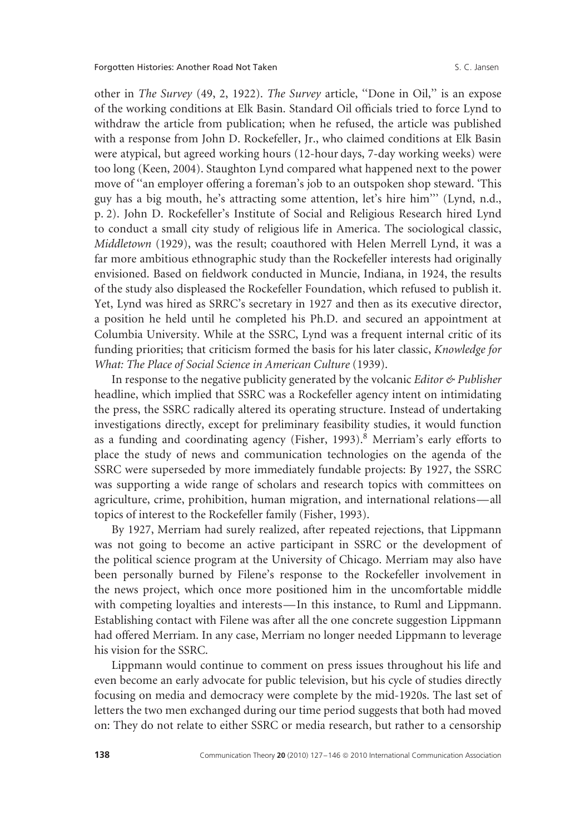other in *The Survey* (49, 2, 1922). *The Survey* article, ''Done in Oil,'' is an expose of the working conditions at Elk Basin. Standard Oil officials tried to force Lynd to withdraw the article from publication; when he refused, the article was published with a response from John D. Rockefeller, Jr., who claimed conditions at Elk Basin were atypical, but agreed working hours (12-hour days, 7-day working weeks) were too long (Keen, 2004). Staughton Lynd compared what happened next to the power move of ''an employer offering a foreman's job to an outspoken shop steward. 'This guy has a big mouth, he's attracting some attention, let's hire him''' (Lynd, n.d., p. 2). John D. Rockefeller's Institute of Social and Religious Research hired Lynd to conduct a small city study of religious life in America. The sociological classic, *Middletown* (1929), was the result; coauthored with Helen Merrell Lynd, it was a far more ambitious ethnographic study than the Rockefeller interests had originally envisioned. Based on fieldwork conducted in Muncie, Indiana, in 1924, the results of the study also displeased the Rockefeller Foundation, which refused to publish it. Yet, Lynd was hired as SRRC's secretary in 1927 and then as its executive director, a position he held until he completed his Ph.D. and secured an appointment at Columbia University. While at the SSRC, Lynd was a frequent internal critic of its funding priorities; that criticism formed the basis for his later classic, *Knowledge for What: The Place of Social Science in American Culture* (1939).

In response to the negative publicity generated by the volcanic *Editor & Publisher* headline, which implied that SSRC was a Rockefeller agency intent on intimidating the press, the SSRC radically altered its operating structure. Instead of undertaking investigations directly, except for preliminary feasibility studies, it would function as a funding and coordinating agency (Fisher, 1993).<sup>8</sup> Merriam's early efforts to place the study of news and communication technologies on the agenda of the SSRC were superseded by more immediately fundable projects: By 1927, the SSRC was supporting a wide range of scholars and research topics with committees on agriculture, crime, prohibition, human migration, and international relations—all topics of interest to the Rockefeller family (Fisher, 1993).

By 1927, Merriam had surely realized, after repeated rejections, that Lippmann was not going to become an active participant in SSRC or the development of the political science program at the University of Chicago. Merriam may also have been personally burned by Filene's response to the Rockefeller involvement in the news project, which once more positioned him in the uncomfortable middle with competing loyalties and interests—In this instance, to Ruml and Lippmann. Establishing contact with Filene was after all the one concrete suggestion Lippmann had offered Merriam. In any case, Merriam no longer needed Lippmann to leverage his vision for the SSRC.

Lippmann would continue to comment on press issues throughout his life and even become an early advocate for public television, but his cycle of studies directly focusing on media and democracy were complete by the mid-1920s. The last set of letters the two men exchanged during our time period suggests that both had moved on: They do not relate to either SSRC or media research, but rather to a censorship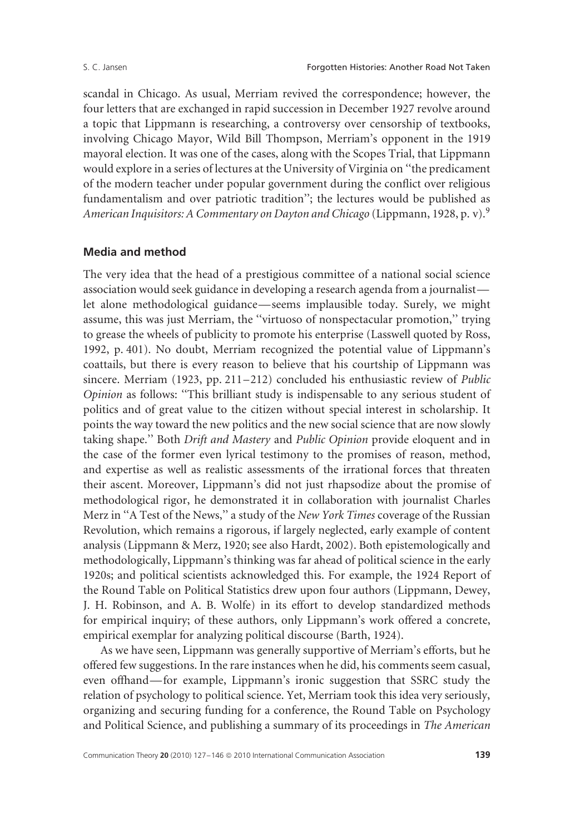scandal in Chicago. As usual, Merriam revived the correspondence; however, the four letters that are exchanged in rapid succession in December 1927 revolve around a topic that Lippmann is researching, a controversy over censorship of textbooks, involving Chicago Mayor, Wild Bill Thompson, Merriam's opponent in the 1919 mayoral election. It was one of the cases, along with the Scopes Trial, that Lippmann would explore in a series of lectures at the University of Virginia on ''the predicament of the modern teacher under popular government during the conflict over religious fundamentalism and over patriotic tradition''; the lectures would be published as *American Inquisitors: A Commentary on Dayton and Chicago* (Lippmann, 1928, p. v).<sup>9</sup>

### **Media and method**

The very idea that the head of a prestigious committee of a national social science association would seek guidance in developing a research agenda from a journalist let alone methodological guidance—seems implausible today. Surely, we might assume, this was just Merriam, the ''virtuoso of nonspectacular promotion,'' trying to grease the wheels of publicity to promote his enterprise (Lasswell quoted by Ross, 1992, p. 401). No doubt, Merriam recognized the potential value of Lippmann's coattails, but there is every reason to believe that his courtship of Lippmann was sincere. Merriam (1923, pp. 211–212) concluded his enthusiastic review of *Public Opinion* as follows: ''This brilliant study is indispensable to any serious student of politics and of great value to the citizen without special interest in scholarship. It points the way toward the new politics and the new social science that are now slowly taking shape.'' Both *Drift and Mastery* and *Public Opinion* provide eloquent and in the case of the former even lyrical testimony to the promises of reason, method, and expertise as well as realistic assessments of the irrational forces that threaten their ascent. Moreover, Lippmann's did not just rhapsodize about the promise of methodological rigor, he demonstrated it in collaboration with journalist Charles Merz in ''A Test of the News,'' a study of the *New York Times* coverage of the Russian Revolution, which remains a rigorous, if largely neglected, early example of content analysis (Lippmann & Merz, 1920; see also Hardt, 2002). Both epistemologically and methodologically, Lippmann's thinking was far ahead of political science in the early 1920s; and political scientists acknowledged this. For example, the 1924 Report of the Round Table on Political Statistics drew upon four authors (Lippmann, Dewey, J. H. Robinson, and A. B. Wolfe) in its effort to develop standardized methods for empirical inquiry; of these authors, only Lippmann's work offered a concrete, empirical exemplar for analyzing political discourse (Barth, 1924).

As we have seen, Lippmann was generally supportive of Merriam's efforts, but he offered few suggestions. In the rare instances when he did, his comments seem casual, even offhand—for example, Lippmann's ironic suggestion that SSRC study the relation of psychology to political science. Yet, Merriam took this idea very seriously, organizing and securing funding for a conference, the Round Table on Psychology and Political Science, and publishing a summary of its proceedings in *The American*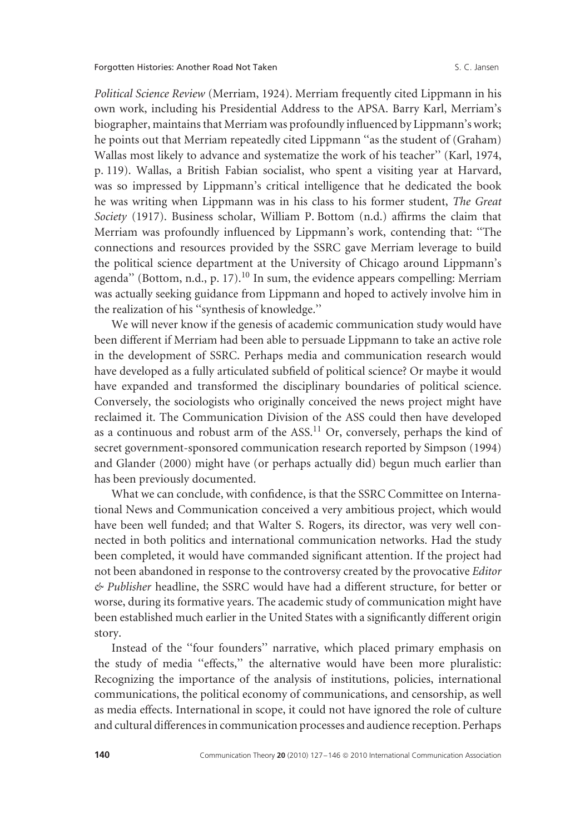*Political Science Review* (Merriam, 1924). Merriam frequently cited Lippmann in his own work, including his Presidential Address to the APSA. Barry Karl, Merriam's biographer, maintains that Merriam was profoundly influenced by Lippmann's work; he points out that Merriam repeatedly cited Lippmann ''as the student of (Graham) Wallas most likely to advance and systematize the work of his teacher'' (Karl, 1974, p. 119). Wallas, a British Fabian socialist, who spent a visiting year at Harvard, was so impressed by Lippmann's critical intelligence that he dedicated the book he was writing when Lippmann was in his class to his former student, *The Great Society* (1917). Business scholar, William P. Bottom (n.d.) affirms the claim that Merriam was profoundly influenced by Lippmann's work, contending that: ''The connections and resources provided by the SSRC gave Merriam leverage to build the political science department at the University of Chicago around Lippmann's agenda'' (Bottom, n.d., p. 17).10 In sum, the evidence appears compelling: Merriam was actually seeking guidance from Lippmann and hoped to actively involve him in the realization of his ''synthesis of knowledge.''

We will never know if the genesis of academic communication study would have been different if Merriam had been able to persuade Lippmann to take an active role in the development of SSRC. Perhaps media and communication research would have developed as a fully articulated subfield of political science? Or maybe it would have expanded and transformed the disciplinary boundaries of political science. Conversely, the sociologists who originally conceived the news project might have reclaimed it. The Communication Division of the ASS could then have developed as a continuous and robust arm of the ASS.11 Or, conversely, perhaps the kind of secret government-sponsored communication research reported by Simpson (1994) and Glander (2000) might have (or perhaps actually did) begun much earlier than has been previously documented.

What we can conclude, with confidence, is that the SSRC Committee on International News and Communication conceived a very ambitious project, which would have been well funded; and that Walter S. Rogers, its director, was very well connected in both politics and international communication networks. Had the study been completed, it would have commanded significant attention. If the project had not been abandoned in response to the controversy created by the provocative *Editor & Publisher* headline, the SSRC would have had a different structure, for better or worse, during its formative years. The academic study of communication might have been established much earlier in the United States with a significantly different origin story.

Instead of the ''four founders'' narrative, which placed primary emphasis on the study of media ''effects,'' the alternative would have been more pluralistic: Recognizing the importance of the analysis of institutions, policies, international communications, the political economy of communications, and censorship, as well as media effects. International in scope, it could not have ignored the role of culture and cultural differences in communication processes and audience reception. Perhaps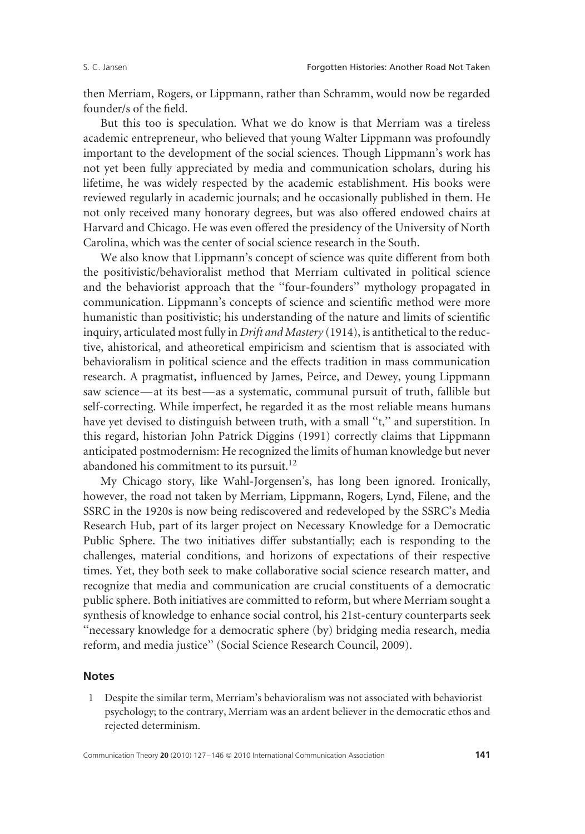then Merriam, Rogers, or Lippmann, rather than Schramm, would now be regarded founder/s of the field.

But this too is speculation. What we do know is that Merriam was a tireless academic entrepreneur, who believed that young Walter Lippmann was profoundly important to the development of the social sciences. Though Lippmann's work has not yet been fully appreciated by media and communication scholars, during his lifetime, he was widely respected by the academic establishment. His books were reviewed regularly in academic journals; and he occasionally published in them. He not only received many honorary degrees, but was also offered endowed chairs at Harvard and Chicago. He was even offered the presidency of the University of North Carolina, which was the center of social science research in the South.

We also know that Lippmann's concept of science was quite different from both the positivistic/behavioralist method that Merriam cultivated in political science and the behaviorist approach that the ''four-founders'' mythology propagated in communication. Lippmann's concepts of science and scientific method were more humanistic than positivistic; his understanding of the nature and limits of scientific inquiry, articulated most fully in *Drift and Mastery* (1914), is antithetical to the reductive, ahistorical, and atheoretical empiricism and scientism that is associated with behavioralism in political science and the effects tradition in mass communication research. A pragmatist, influenced by James, Peirce, and Dewey, young Lippmann saw science—at its best—as a systematic, communal pursuit of truth, fallible but self-correcting. While imperfect, he regarded it as the most reliable means humans have yet devised to distinguish between truth, with a small "t," and superstition. In this regard, historian John Patrick Diggins (1991) correctly claims that Lippmann anticipated postmodernism: He recognized the limits of human knowledge but never abandoned his commitment to its pursuit.<sup>12</sup>

My Chicago story, like Wahl-Jorgensen's, has long been ignored. Ironically, however, the road not taken by Merriam, Lippmann, Rogers, Lynd, Filene, and the SSRC in the 1920s is now being rediscovered and redeveloped by the SSRC's Media Research Hub, part of its larger project on Necessary Knowledge for a Democratic Public Sphere. The two initiatives differ substantially; each is responding to the challenges, material conditions, and horizons of expectations of their respective times. Yet, they both seek to make collaborative social science research matter, and recognize that media and communication are crucial constituents of a democratic public sphere. Both initiatives are committed to reform, but where Merriam sought a synthesis of knowledge to enhance social control, his 21st-century counterparts seek ''necessary knowledge for a democratic sphere (by) bridging media research, media reform, and media justice'' (Social Science Research Council, 2009).

#### **Notes**

1 Despite the similar term, Merriam's behavioralism was not associated with behaviorist psychology; to the contrary, Merriam was an ardent believer in the democratic ethos and rejected determinism.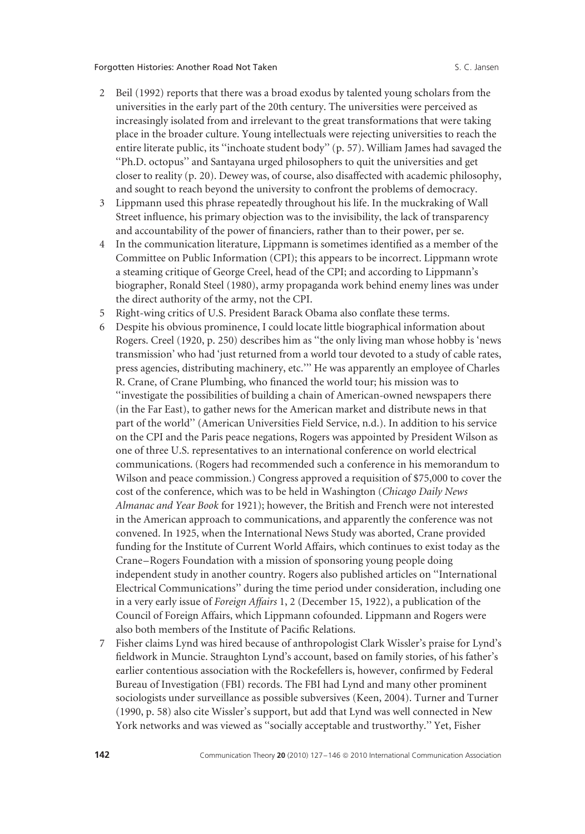#### Forgotten Histories: Another Road Not Taken S. C. Jansen S. C. Jansen

- 2 Beil (1992) reports that there was a broad exodus by talented young scholars from the universities in the early part of the 20th century. The universities were perceived as increasingly isolated from and irrelevant to the great transformations that were taking place in the broader culture. Young intellectuals were rejecting universities to reach the entire literate public, its ''inchoate student body'' (p. 57). William James had savaged the ''Ph.D. octopus'' and Santayana urged philosophers to quit the universities and get closer to reality (p. 20). Dewey was, of course, also disaffected with academic philosophy, and sought to reach beyond the university to confront the problems of democracy.
- 3 Lippmann used this phrase repeatedly throughout his life. In the muckraking of Wall Street influence, his primary objection was to the invisibility, the lack of transparency and accountability of the power of financiers, rather than to their power, per se.
- 4 In the communication literature, Lippmann is sometimes identified as a member of the Committee on Public Information (CPI); this appears to be incorrect. Lippmann wrote a steaming critique of George Creel, head of the CPI; and according to Lippmann's biographer, Ronald Steel (1980), army propaganda work behind enemy lines was under the direct authority of the army, not the CPI.
- 5 Right-wing critics of U.S. President Barack Obama also conflate these terms.
- 6 Despite his obvious prominence, I could locate little biographical information about Rogers. Creel (1920, p. 250) describes him as ''the only living man whose hobby is 'news transmission' who had 'just returned from a world tour devoted to a study of cable rates, press agencies, distributing machinery, etc.''' He was apparently an employee of Charles R. Crane, of Crane Plumbing, who financed the world tour; his mission was to ''investigate the possibilities of building a chain of American-owned newspapers there (in the Far East), to gather news for the American market and distribute news in that part of the world'' (American Universities Field Service, n.d.). In addition to his service on the CPI and the Paris peace negations, Rogers was appointed by President Wilson as one of three U.S. representatives to an international conference on world electrical communications. (Rogers had recommended such a conference in his memorandum to Wilson and peace commission.) Congress approved a requisition of \$75,000 to cover the cost of the conference, which was to be held in Washington (*Chicago Daily News Almanac and Year Book* for 1921); however, the British and French were not interested in the American approach to communications, and apparently the conference was not convened. In 1925, when the International News Study was aborted, Crane provided funding for the Institute of Current World Affairs, which continues to exist today as the Crane–Rogers Foundation with a mission of sponsoring young people doing independent study in another country. Rogers also published articles on ''International Electrical Communications'' during the time period under consideration, including one in a very early issue of *Foreign Affairs* 1, 2 (December 15, 1922), a publication of the Council of Foreign Affairs, which Lippmann cofounded. Lippmann and Rogers were also both members of the Institute of Pacific Relations.
- 7 Fisher claims Lynd was hired because of anthropologist Clark Wissler's praise for Lynd's fieldwork in Muncie. Straughton Lynd's account, based on family stories, of his father's earlier contentious association with the Rockefellers is, however, confirmed by Federal Bureau of Investigation (FBI) records. The FBI had Lynd and many other prominent sociologists under surveillance as possible subversives (Keen, 2004). Turner and Turner (1990, p. 58) also cite Wissler's support, but add that Lynd was well connected in New York networks and was viewed as ''socially acceptable and trustworthy.'' Yet, Fisher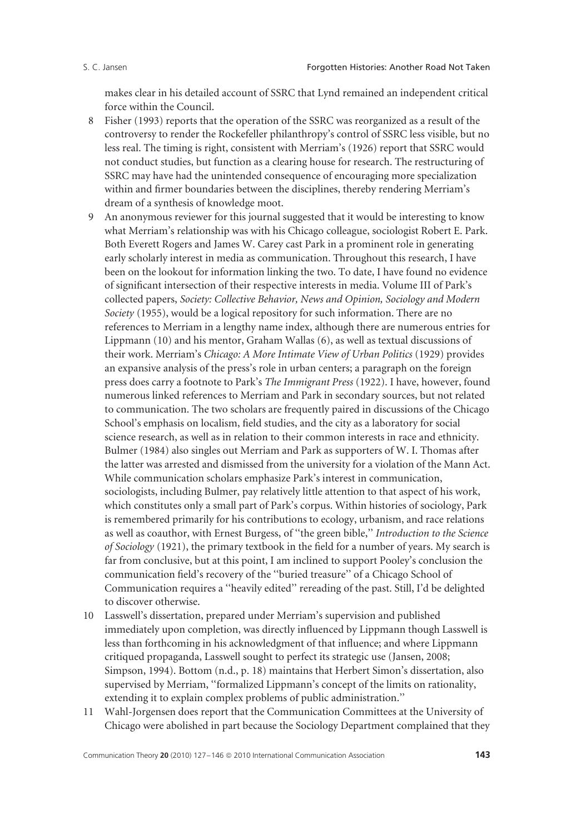makes clear in his detailed account of SSRC that Lynd remained an independent critical force within the Council.

- 8 Fisher (1993) reports that the operation of the SSRC was reorganized as a result of the controversy to render the Rockefeller philanthropy's control of SSRC less visible, but no less real. The timing is right, consistent with Merriam's (1926) report that SSRC would not conduct studies, but function as a clearing house for research. The restructuring of SSRC may have had the unintended consequence of encouraging more specialization within and firmer boundaries between the disciplines, thereby rendering Merriam's dream of a synthesis of knowledge moot.
- 9 An anonymous reviewer for this journal suggested that it would be interesting to know what Merriam's relationship was with his Chicago colleague, sociologist Robert E. Park. Both Everett Rogers and James W. Carey cast Park in a prominent role in generating early scholarly interest in media as communication. Throughout this research, I have been on the lookout for information linking the two. To date, I have found no evidence of significant intersection of their respective interests in media. Volume III of Park's collected papers, *Society: Collective Behavior, News and Opinion, Sociology and Modern Society* (1955), would be a logical repository for such information. There are no references to Merriam in a lengthy name index, although there are numerous entries for Lippmann (10) and his mentor, Graham Wallas (6), as well as textual discussions of their work. Merriam's *Chicago: A More Intimate View of Urban Politics* (1929) provides an expansive analysis of the press's role in urban centers; a paragraph on the foreign press does carry a footnote to Park's *The Immigrant Press* (1922). I have, however, found numerous linked references to Merriam and Park in secondary sources, but not related to communication. The two scholars are frequently paired in discussions of the Chicago School's emphasis on localism, field studies, and the city as a laboratory for social science research, as well as in relation to their common interests in race and ethnicity. Bulmer (1984) also singles out Merriam and Park as supporters of W. I. Thomas after the latter was arrested and dismissed from the university for a violation of the Mann Act. While communication scholars emphasize Park's interest in communication, sociologists, including Bulmer, pay relatively little attention to that aspect of his work, which constitutes only a small part of Park's corpus. Within histories of sociology, Park is remembered primarily for his contributions to ecology, urbanism, and race relations as well as coauthor, with Ernest Burgess, of ''the green bible,'' *Introduction to the Science of Sociology* (1921), the primary textbook in the field for a number of years. My search is far from conclusive, but at this point, I am inclined to support Pooley's conclusion the communication field's recovery of the ''buried treasure'' of a Chicago School of Communication requires a ''heavily edited'' rereading of the past. Still, I'd be delighted to discover otherwise.
- 10 Lasswell's dissertation, prepared under Merriam's supervision and published immediately upon completion, was directly influenced by Lippmann though Lasswell is less than forthcoming in his acknowledgment of that influence; and where Lippmann critiqued propaganda, Lasswell sought to perfect its strategic use (Jansen, 2008; Simpson, 1994). Bottom (n.d., p. 18) maintains that Herbert Simon's dissertation, also supervised by Merriam, ''formalized Lippmann's concept of the limits on rationality, extending it to explain complex problems of public administration.''
- 11 Wahl-Jorgensen does report that the Communication Committees at the University of Chicago were abolished in part because the Sociology Department complained that they

Communication Theory **20** (2010) 127–146 © 2010 International Communication Association **143**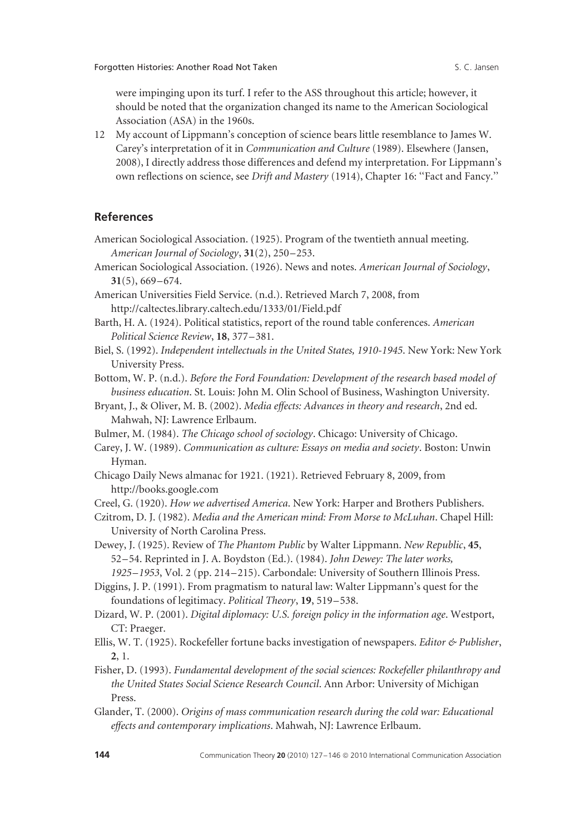were impinging upon its turf. I refer to the ASS throughout this article; however, it should be noted that the organization changed its name to the American Sociological Association (ASA) in the 1960s.

12 My account of Lippmann's conception of science bears little resemblance to James W. Carey's interpretation of it in *Communication and Culture* (1989). Elsewhere (Jansen, 2008), I directly address those differences and defend my interpretation. For Lippmann's own reflections on science, see *Drift and Mastery* (1914), Chapter 16: ''Fact and Fancy.''

### **References**

- American Sociological Association. (1925). Program of the twentieth annual meeting. *American Journal of Sociology*, **31**(2), 250–253.
- American Sociological Association. (1926). News and notes. *American Journal of Sociology*, **31**(5), 669–674.
- American Universities Field Service. (n.d.). Retrieved March 7, 2008, from http://caltectes.library.caltech.edu/1333/01/Field.pdf
- Barth, H. A. (1924). Political statistics, report of the round table conferences. *American Political Science Review*, **18**, 377–381.
- Biel, S. (1992). *Independent intellectuals in the United States, 1910-1945*. New York: New York University Press.
- Bottom, W. P. (n.d.). *Before the Ford Foundation: Development of the research based model of business education*. St. Louis: John M. Olin School of Business, Washington University.
- Bryant, J., & Oliver, M. B. (2002). *Media effects: Advances in theory and research*, 2nd ed. Mahwah, NJ: Lawrence Erlbaum.
- Bulmer, M. (1984). *The Chicago school of sociology*. Chicago: University of Chicago.
- Carey, J. W. (1989). *Communication as culture: Essays on media and society*. Boston: Unwin Hyman.
- Chicago Daily News almanac for 1921. (1921). Retrieved February 8, 2009, from http://books.google.com
- Creel, G. (1920). *How we advertised America*. New York: Harper and Brothers Publishers.
- Czitrom, D. J. (1982). *Media and the American mind: From Morse to McLuhan*. Chapel Hill: University of North Carolina Press.

Dewey, J. (1925). Review of *The Phantom Public* by Walter Lippmann. *New Republic*, **45**, 52–54. Reprinted in J. A. Boydston (Ed.). (1984). *John Dewey: The later works, 1925–1953*, Vol. 2 (pp. 214–215). Carbondale: University of Southern Illinois Press.

Diggins, J. P. (1991). From pragmatism to natural law: Walter Lippmann's quest for the foundations of legitimacy. *Political Theory*, **19**, 519–538.

- Dizard, W. P. (2001). *Digital diplomacy: U.S. foreign policy in the information age*. Westport, CT: Praeger.
- Ellis, W. T. (1925). Rockefeller fortune backs investigation of newspapers. *Editor & Publisher*, **2**, 1.
- Fisher, D. (1993). *Fundamental development of the social sciences: Rockefeller philanthropy and the United States Social Science Research Council*. Ann Arbor: University of Michigan Press.
- Glander, T. (2000). *Origins of mass communication research during the cold war: Educational effects and contemporary implications*. Mahwah, NJ: Lawrence Erlbaum.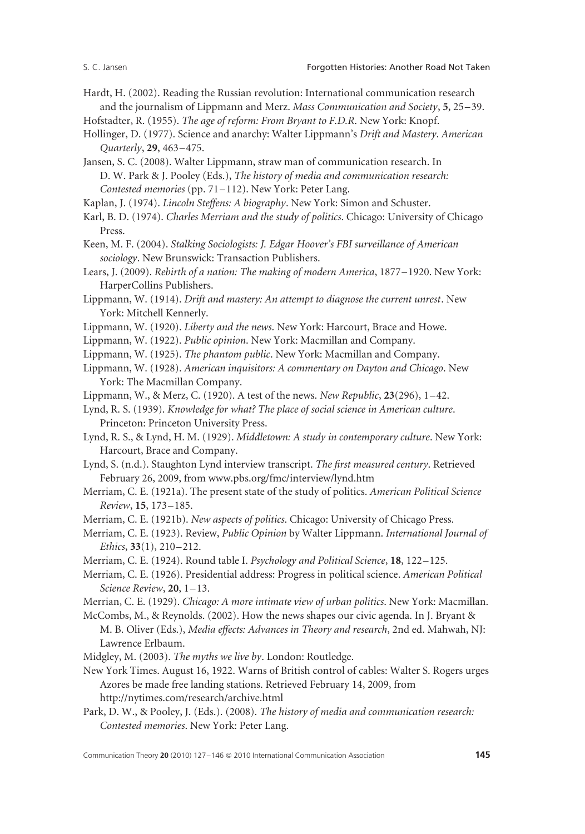- Hardt, H. (2002). Reading the Russian revolution: International communication research and the journalism of Lippmann and Merz. *Mass Communication and Society*, **5**, 25–39.
- Hofstadter, R. (1955). *The age of reform: From Bryant to F.D.R*. New York: Knopf.
- Hollinger, D. (1977). Science and anarchy: Walter Lippmann's *Drift and Mastery*. *American Quarterly*, **29**, 463–475.
- Jansen, S. C. (2008). Walter Lippmann, straw man of communication research. In D. W. Park & J. Pooley (Eds.), *The history of media and communication research: Contested memories* (pp. 71–112). New York: Peter Lang.
- Kaplan, J. (1974). *Lincoln Steffens: A biography*. New York: Simon and Schuster.
- Karl, B. D. (1974). *Charles Merriam and the study of politics*. Chicago: University of Chicago Press.
- Keen, M. F. (2004). *Stalking Sociologists: J. Edgar Hoover's FBI surveillance of American sociology*. New Brunswick: Transaction Publishers.
- Lears, J. (2009). *Rebirth of a nation: The making of modern America*, 1877–1920. New York: HarperCollins Publishers.
- Lippmann, W. (1914). *Drift and mastery: An attempt to diagnose the current unrest*. New York: Mitchell Kennerly.
- Lippmann, W. (1920). *Liberty and the news*. New York: Harcourt, Brace and Howe.
- Lippmann, W. (1922). *Public opinion*. New York: Macmillan and Company.
- Lippmann, W. (1925). *The phantom public*. New York: Macmillan and Company.
- Lippmann, W. (1928). *American inquisitors: A commentary on Dayton and Chicago*. New York: The Macmillan Company.
- Lippmann, W., & Merz, C. (1920). A test of the news. *New Republic*, **23**(296), 1–42.
- Lynd, R. S. (1939). *Knowledge for what? The place of social science in American culture*. Princeton: Princeton University Press.
- Lynd, R. S., & Lynd, H. M. (1929). *Middletown: A study in contemporary culture*. New York: Harcourt, Brace and Company.
- Lynd, S. (n.d.). Staughton Lynd interview transcript. *The first measured century*. Retrieved February 26, 2009, from www.pbs.org/fmc/interview/lynd.htm
- Merriam, C. E. (1921a). The present state of the study of politics. *American Political Science Review*, **15**, 173–185.
- Merriam, C. E. (1921b). *New aspects of politics*. Chicago: University of Chicago Press.
- Merriam, C. E. (1923). Review, *Public Opinion* by Walter Lippmann. *International Journal of Ethics*, **33**(1), 210–212.
- Merriam, C. E. (1924). Round table I. *Psychology and Political Science*, **18**, 122–125.
- Merriam, C. E. (1926). Presidential address: Progress in political science. *American Political Science Review*, **20**, 1–13.
- Merrian, C. E. (1929). *Chicago: A more intimate view of urban politics*. New York: Macmillan.
- McCombs, M., & Reynolds. (2002). How the news shapes our civic agenda. In J. Bryant & M. B. Oliver (Eds.), *Media effects: Advances in Theory and research*, 2nd ed. Mahwah, NJ: Lawrence Erlbaum.
- Midgley, M. (2003). *The myths we live by*. London: Routledge.
- New York Times. August 16, 1922. Warns of British control of cables: Walter S. Rogers urges Azores be made free landing stations. Retrieved February 14, 2009, from http://nytimes.com/research/archive.html
- Park, D. W., & Pooley, J. (Eds.). (2008). *The history of media and communication research: Contested memories*. New York: Peter Lang.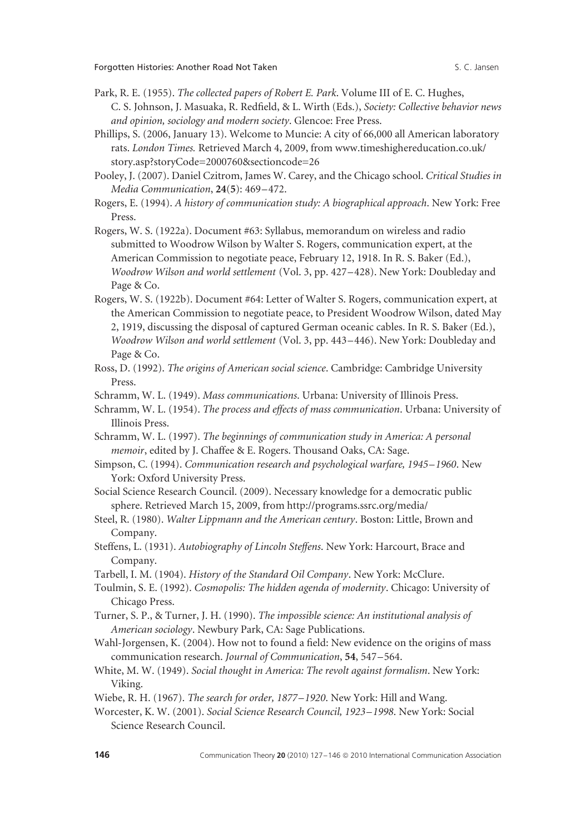- Park, R. E. (1955). *The collected papers of Robert E. Park*. Volume III of E. C. Hughes, C. S. Johnson, J. Masuaka, R. Redfield, & L. Wirth (Eds.), *Society: Collective behavior news and opinion, sociology and modern society*. Glencoe: Free Press.
- Phillips, S. (2006, January 13). Welcome to Muncie: A city of 66,000 all American laboratory rats. *London Times.* Retrieved March 4, 2009, from www.timeshighereducation.co.uk/ story.asp?storyCode=2000760&sectioncode=26
- Pooley, J. (2007). Daniel Czitrom, James W. Carey, and the Chicago school. *Critical Studies in Media Communication*, **24**(**5**): 469–472.
- Rogers, E. (1994). *A history of communication study: A biographical approach*. New York: Free Press.
- Rogers, W. S. (1922a). Document #63: Syllabus, memorandum on wireless and radio submitted to Woodrow Wilson by Walter S. Rogers, communication expert, at the American Commission to negotiate peace, February 12, 1918. In R. S. Baker (Ed.), *Woodrow Wilson and world settlement* (Vol. 3, pp. 427–428). New York: Doubleday and Page & Co.
- Rogers, W. S. (1922b). Document #64: Letter of Walter S. Rogers, communication expert, at the American Commission to negotiate peace, to President Woodrow Wilson, dated May 2, 1919, discussing the disposal of captured German oceanic cables. In R. S. Baker (Ed.), *Woodrow Wilson and world settlement* (Vol. 3, pp. 443–446). New York: Doubleday and Page & Co.
- Ross, D. (1992). *The origins of American social science*. Cambridge: Cambridge University Press.
- Schramm, W. L. (1949). *Mass communications*. Urbana: University of Illinois Press.
- Schramm, W. L. (1954). *The process and effects of mass communication*. Urbana: University of Illinois Press.
- Schramm, W. L. (1997). *The beginnings of communication study in America: A personal memoir*, edited by J. Chaffee & E. Rogers. Thousand Oaks, CA: Sage.
- Simpson, C. (1994). *Communication research and psychological warfare, 1945–1960*. New York: Oxford University Press.
- Social Science Research Council. (2009). Necessary knowledge for a democratic public sphere. Retrieved March 15, 2009, from http://programs.ssrc.org/media/
- Steel, R. (1980). *Walter Lippmann and the American century*. Boston: Little, Brown and Company.
- Steffens, L. (1931). *Autobiography of Lincoln Steffens*. New York: Harcourt, Brace and Company.
- Tarbell, I. M. (1904). *History of the Standard Oil Company*. New York: McClure.
- Toulmin, S. E. (1992). *Cosmopolis: The hidden agenda of modernity*. Chicago: University of Chicago Press.
- Turner, S. P., & Turner, J. H. (1990). *The impossible science: An institutional analysis of American sociology*. Newbury Park, CA: Sage Publications.
- Wahl-Jorgensen, K. (2004). How not to found a field: New evidence on the origins of mass communication research. *Journal of Communication*, **54**, 547–564.
- White, M. W. (1949). *Social thought in America: The revolt against formalism*. New York: Viking.
- Wiebe, R. H. (1967). *The search for order, 1877–1920*. New York: Hill and Wang.
- Worcester, K. W. (2001). *Social Science Research Council, 1923–1998*. New York: Social Science Research Council.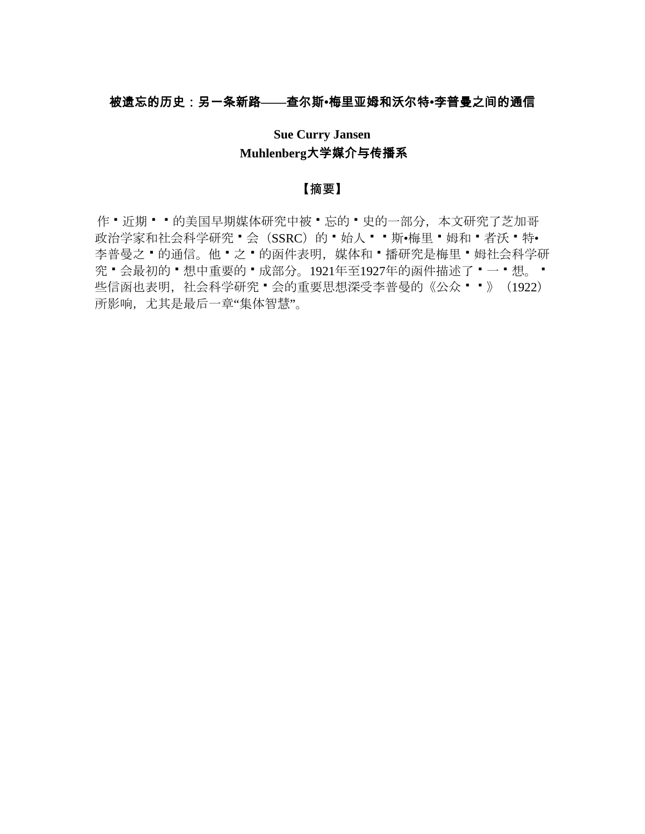# 被遗忘的历史:另一条新路**——**查尔斯**•**梅里亚姆和沃尔特**•**李普曼之间的通信

# **Sue Curry Jansen Muhlenberg**大学媒介与传播系

## 【摘要】

作 • 近期 • • 的美国早期媒体研究中被 • 忘的 • 史的一部分, 本文研究了芝加哥 政治学家和社会科学研究 • 会 (SSRC) 的 • 始人 • • 斯•梅里 • 姆和 • 者沃 • 特• 李普曼之 • 的通信。他 • 之 • 的函件表明, 媒体和 • 播研究是梅里 • 姆社会科学研 究 · 会最初的 · 想中重要的 · 成部分。1921年至1927年的函件描述了 · 一 · 想。 · 些信函也表明, 社会科学研究 • 会的重要思想深受李普曼的《公众 • • 》 (1922) 所影响,尤其是最后一章"集体智慧"。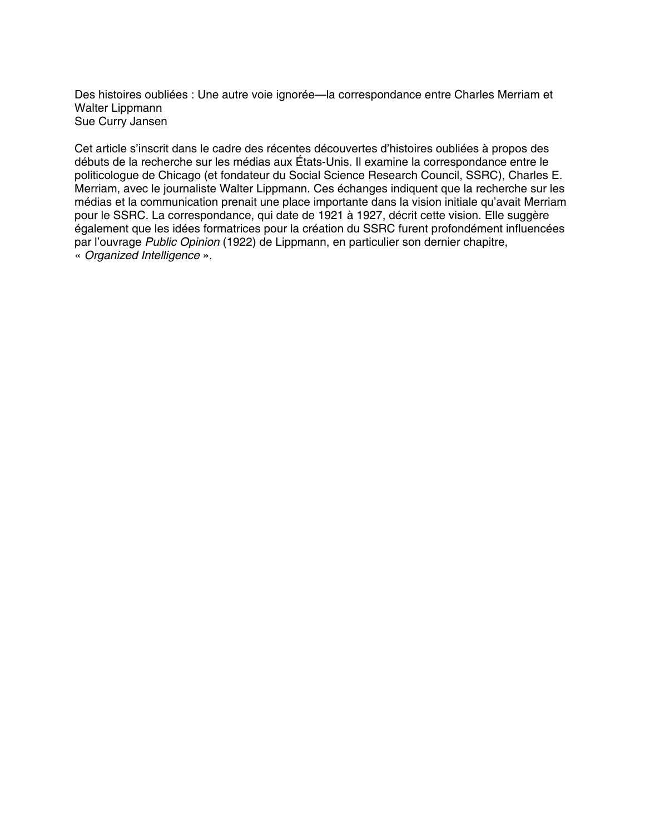Des histoires oubliées : Une autre voie ignorée—la correspondance entre Charles Merriam et Walter Lippmann Sue Curry Jansen

Cet article s'inscrit dans le cadre des récentes découvertes d'histoires oubliées à propos des débuts de la recherche sur les médias aux États-Unis. Il examine la correspondance entre le politicologue de Chicago (et fondateur du Social Science Research Council, SSRC), Charles E. Merriam, avec le journaliste Walter Lippmann. Ces échanges indiquent que la recherche sur les médias et la communication prenait une place importante dans la vision initiale qu'avait Merriam pour le SSRC. La correspondance, qui date de 1921 à 1927, décrit cette vision. Elle suggère également que les idées formatrices pour la création du SSRC furent profondément influencées par l'ouvrage *Public Opinion* (1922) de Lippmann, en particulier son dernier chapitre, « *Organized Intelligence* ».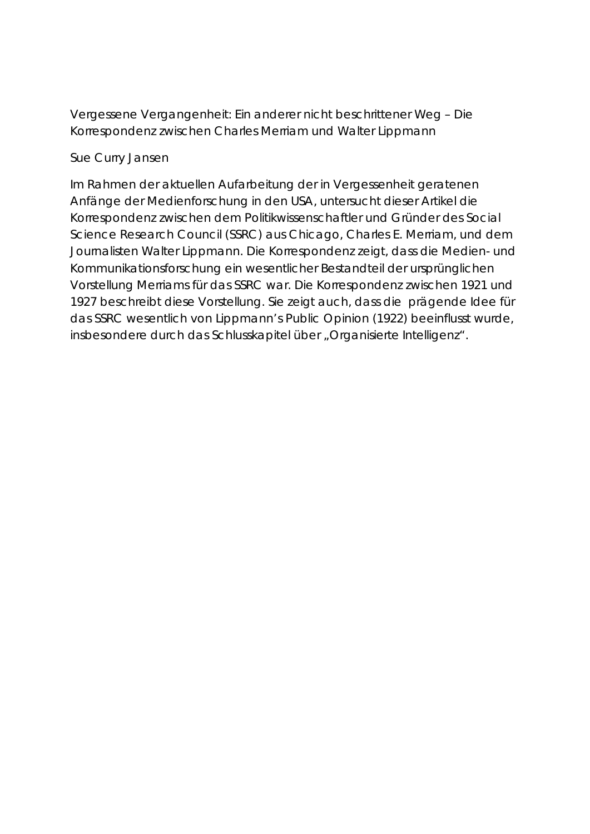Vergessene Vergangenheit: Ein anderer nicht beschrittener Weg – Die Korrespondenz zwischen Charles Merriam und Walter Lippmann

# *Sue Curry Jansen*

Im Rahmen der aktuellen Aufarbeitung der in Vergessenheit geratenen Anfänge der Medienforschung in den USA, untersucht dieser Artikel die Korrespondenz zwischen dem Politikwissenschaftler und Gründer des Social Science Research Council (SSRC) aus Chicago, Charles E. Merriam, und dem Journalisten Walter Lippmann. Die Korrespondenz zeigt, dass die Medien- und Kommunikationsforschung ein wesentlicher Bestandteil der ursprünglichen Vorstellung Merriams für das SSRC war. Die Korrespondenz zwischen 1921 und 1927 beschreibt diese Vorstellung. Sie zeigt auch, dass die prägende Idee für das SSRC wesentlich von Lippmann's *Public Opinion* (1922) beeinflusst wurde, insbesondere durch das Schlusskapitel über "Organisierte Intelligenz".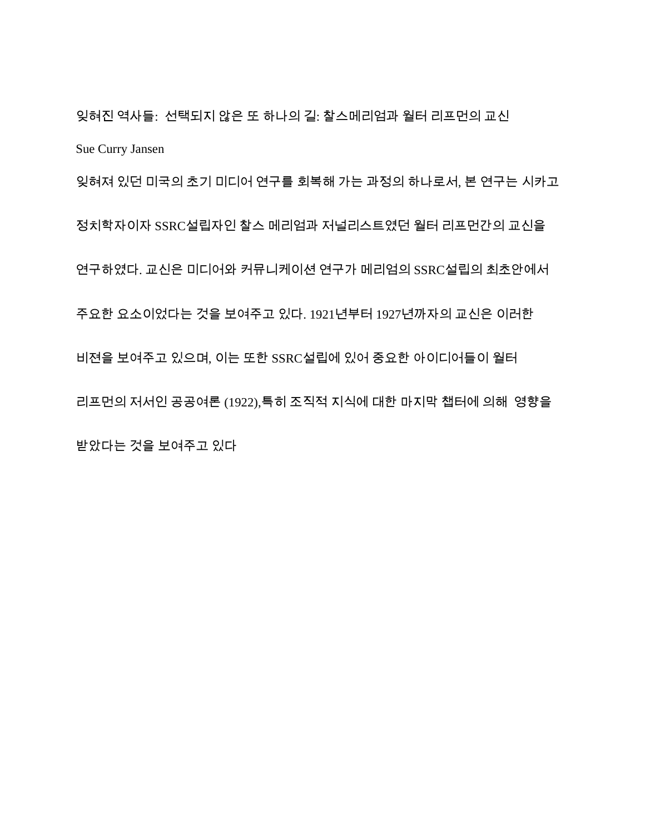잊혀진 역사들: 선택되지 않은 또 하나의 길: 찰스메리엄과 월터 리프먼의 교신 Sue Curry Jansen 잊혀져 있던 미국의 초기 미디어 연구를 회복해 가는 과정의 하나로서, 본 연구는 시카고 정치학자이자 SSRC설립자인 찰스 메리엄과 저널리스트였던 월터 리프먼간의 교신을 연구하였다. 교신은 미디어와 커뮤니케이션 연구가 메리엄의 SSRC설립의 최초안에서 주요한 요소이었다는 것을 보여주고 있다. 1921년부터 1927년까자의 교신은 이러한 비젼을 보여주고 있으며, 이는 또한 SSRC설립에 있어 중요한 아이디어들이 월터 리프먼의 저서인 공공여론 (1922),특히 조직적 지식에 대한 마지막 챕터에 의해 영향을 받았다는 것을 보여주고 있다